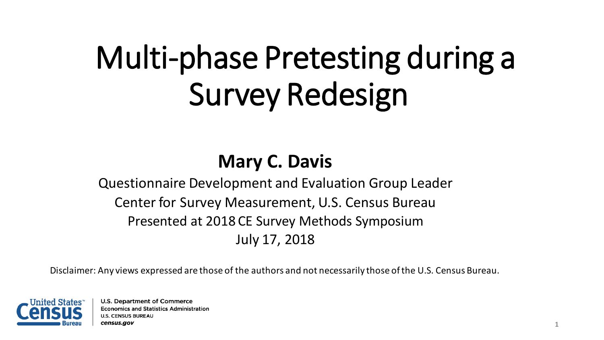# Multi-phase Pretesting during a Survey Redesign

#### **Mary C. Davis**

Questionnaire Development and Evaluation Group Leader Center for Survey Measurement, U.S. Census Bureau Presented at 2018 CE Survey Methods Symposium July 17, 2018

Disclaimer: Any views expressed are those of the authors and not necessarily those of the U.S. Census Bureau.

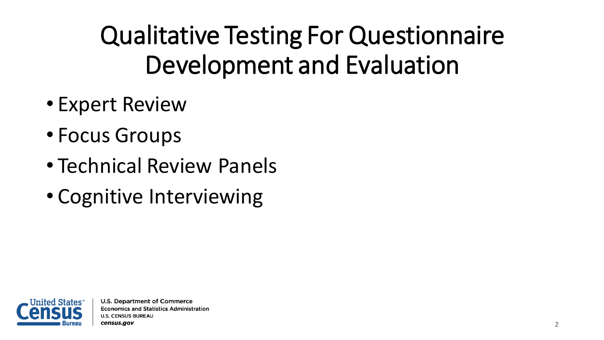Qualitative Testing For Questionnaire Development and Evaluation

- Expert Review
- Focus Groups
- Technical Review Panels
- Cognitive Interviewing

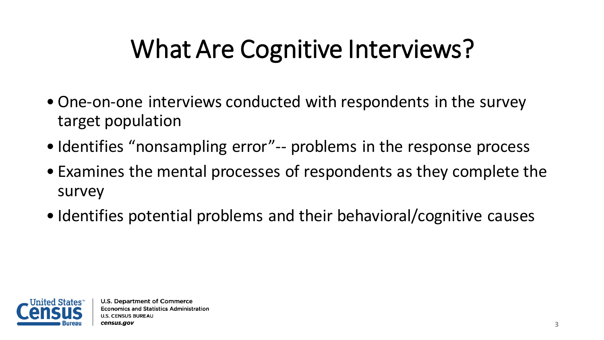## What Are Cognitive Interviews?

- •One-on-one interviews conducted with respondents in the survey target population
- Identifies "nonsampling error"-- problems in the response process
- Examines the mental processes of respondents as they complete the survey
- Identifies potential problems and their behavioral/cognitive causes

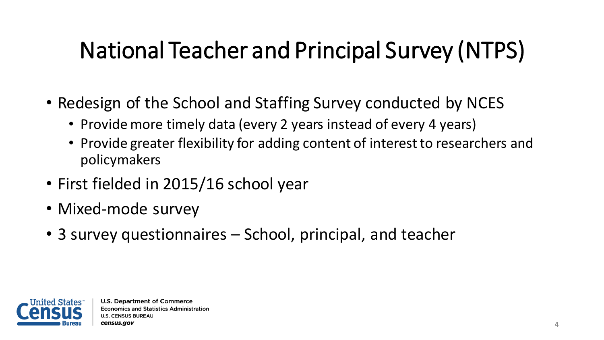## National Teacher and Principal Survey (NTPS)

- Redesign of the School and Staffing Survey conducted by NCES
	- Provide more timely data (every 2 years instead of every 4 years)
	- Provide greater flexibility for adding content of interest to researchers and policymakers
- First fielded in 2015/16 school year
- Mixed-mode survey
- 3 survey questionnaires School, principal, and teacher

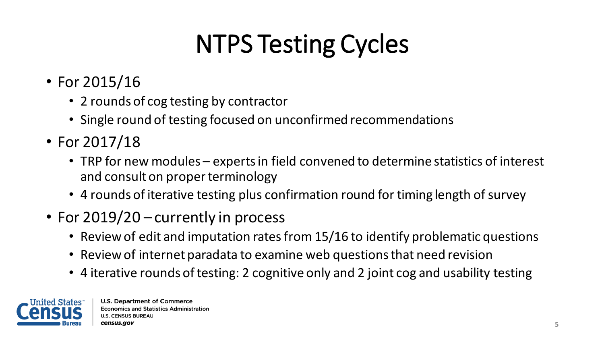# NTPS Testing Cycles

- For 2015/16
	- 2 rounds of cog testing by contractor
	- Single round of testing focused on unconfirmed recommendations
- For 2017/18
	- TRP for new modules experts in field convened to determine statistics of interest and consult on proper terminology
	- 4 rounds of iterative testing plus confirmation round for timing length of survey
- For 2019/20 currently in process
	- Review of edit and imputation rates from 15/16 to identify problematic questions
	- Review of internet paradata to examine web questions that need revision
	- 4 iterative rounds of testing: 2 cognitive only and 2 joint cog and usability testing

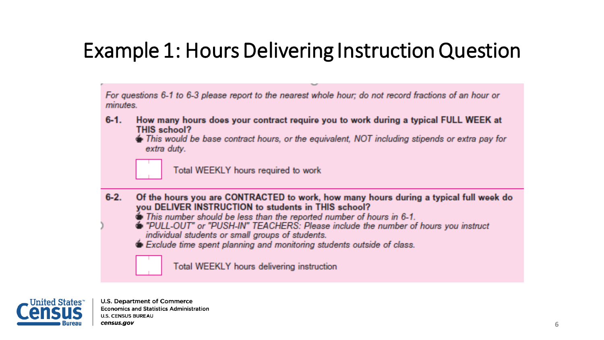#### Example 1: Hours Delivering Instruction Question

For questions 6-1 to 6-3 please report to the nearest whole hour; do not record fractions of an hour or *minutes.* 

- $6 1$ . How many hours does your contract require you to work during a typical FULL WEEK at THIS school?
	- $\clubsuit$  This would be base contract hours, or the equivalent, NOT including stipends or extra pay for extra duty.



Total WEEKLY hours required to work

- $6 2$ Of the hours you are CONTRACTED to work, how many hours during a typical full week do you DELIVER INSTRUCTION to students in THIS school?
	- This number should be less than the reported number of hours in 6-1.
	- PULL-OUT" or "PUSH-IN" TEACHERS: Please include the number of hours you instruct individual students or small groups of students.
	- Exclude time spent planning and monitoring students outside of class.

Total WEEKLY hours delivering instruction

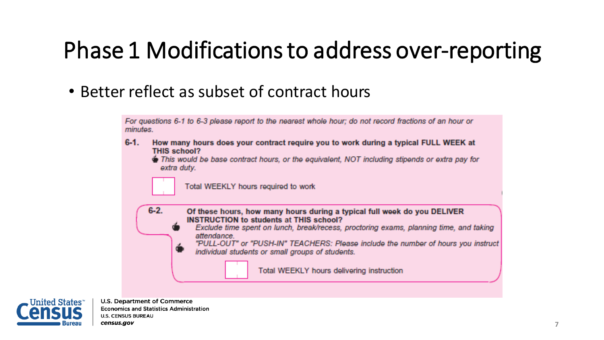## Phase 1 Modifications to address over-reporting

• Better reflect as subset of contract hours

For questions 6-1 to 6-3 please report to the nearest whole hour; do not record fractions of an hour or minutes.

 $6-1$ . How many hours does your contract require you to work during a typical FULL WEEK at **THIS school?** 

This would be base contract hours, or the equivalent, NOT including stipends or extra pay for extra duty.

Total WEEKLY hours required to work



Exclude time spent on lunch, break/recess, proctoring exams, planning time, and taking attendance

"PULL-OUT" or "PUSH-IN" TEACHERS: Please include the number of hours you instruct individual students or small groups of students.

Total WEEKLY hours delivering instruction



**U.S. Department of Commerce Economics and Statistics Administration U.S. CENSUS BUREAU** census.gov

 $6 - 2$ .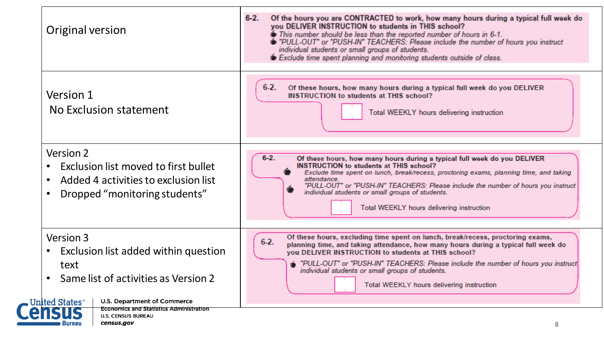| Original version                                                                                                                                                                   | $6 - 2$ .<br>Of the hours you are CONTRACTED to work, how many hours during a typical full week do<br>you DELIVER INSTRUCTION to students in THIS school?<br>This number should be less than the reported number of hours in 6-1.<br>PULL-OUT" or "PUSH-IN" TEACHERS: Please include the number of hours you instruct<br>individual students or small groups of students.<br>Exclude time spent planning and monitoring students outside of class. |
|------------------------------------------------------------------------------------------------------------------------------------------------------------------------------------|----------------------------------------------------------------------------------------------------------------------------------------------------------------------------------------------------------------------------------------------------------------------------------------------------------------------------------------------------------------------------------------------------------------------------------------------------|
| Version 1<br>No Exclusion statement                                                                                                                                                | $6-2.$<br>Of these hours, how many hours during a typical full week do you DELIVER<br><b>INSTRUCTION to students at THIS school?</b><br>Total WEEKLY hours delivering instruction                                                                                                                                                                                                                                                                  |
| Version 2<br>Exclusion list moved to first bullet<br>Added 4 activities to exclusion list<br>Dropped "monitoring students"<br>$\bullet$                                            | $6 - 2.$<br>Of these hours, how many hours during a typical full week do you DELIVER<br><b>INSTRUCTION</b> to students at THIS school?<br>Exclude time spent on lunch, break/recess, proctoring exams, planning time, and taking<br>attendance.<br>"PULL-OUT" or "PUSH-IN" TEACHERS: Please include the number of hours you instruct<br>individual students or small groups of students.<br>Total WEEKLY hours delivering instruction              |
| Version 3<br>Exclusion list added within question<br>$\bullet$<br>text<br>Same list of activities as Version 2<br><b>U.S. Department of Commerce</b><br>. United States $\tilde{}$ | Of these hours, excluding time spent on lunch, break/recess, proctoring exams,<br>$6-2.$<br>planning time, and taking attendance, how many hours during a typical full week do<br>you DELIVER INSTRUCTION to students at THIS school?<br>"PULL-OUT" or "PUSH-IN" TEACHERS: Please include the number of hours you instruct<br>individual students or small groups of students.<br>Total WEEKLY hours delivering instruction                        |
| Economics and Statistics Administration<br><b>U.S. CENSUS BUREAU</b>                                                                                                               |                                                                                                                                                                                                                                                                                                                                                                                                                                                    |

**Bureau** 

census.gov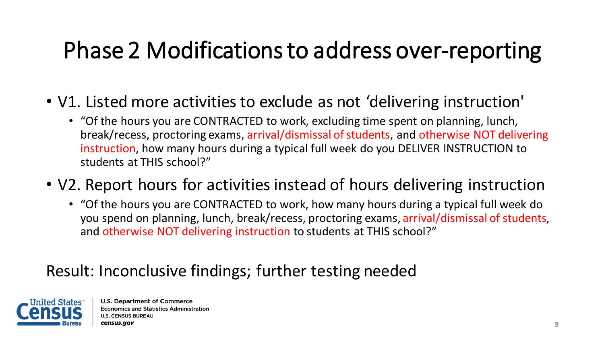## Phase 2 Modifications to address over-reporting

- V1. Listed more activities to exclude as not 'delivering instruction'
	- "Of the hours you are CONTRACTED to work, excluding time spent on planning, lunch, break/recess, proctoring exams, arrival/dismissal of students, and otherwise NOT delivering instruction, how many hours during a typical full week do you DELIVER INSTRUCTION to students at THIS school?"
- V2. Report hours for activities instead of hours delivering instruction
	- "Of the hours you are CONTRACTED to work, how many hours during a typical full week do you spend on planning, lunch, break/recess, proctoring exams, arrival/dismissal of students, and otherwise NOT delivering instruction to students at THIS school?"

#### Result: Inconclusive findings; further testing needed

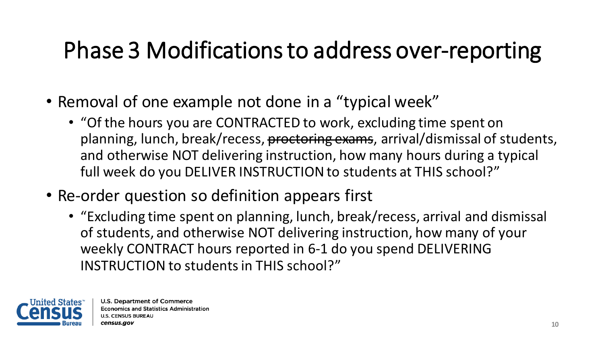## Phase 3 Modifications to address over-reporting

- Removal of one example not done in a "typical week"
	- "Of the hours you are CONTRACTED to work, excluding time spent on planning, lunch, break/recess, proctoring exams, arrival/dismissal of students, and otherwise NOT delivering instruction, how many hours during a typical full week do you DELIVER INSTRUCTION to students at THIS school?"
- Re-order question so definition appears first
	- "Excluding time spent on planning, lunch, break/recess, arrival and dismissal of students, and otherwise NOT delivering instruction, how many of your weekly CONTRACT hours reported in 6-1 do you spend DELIVERING INSTRUCTION to students in THIS school?"

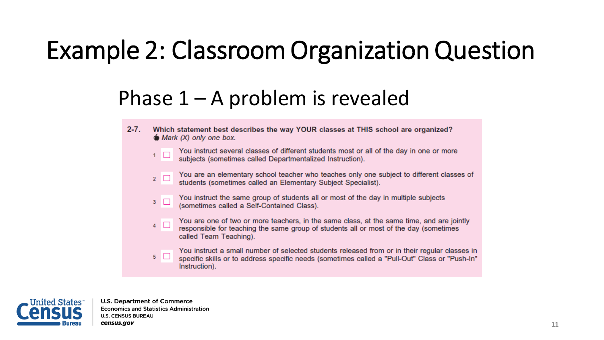## Example 2: Classroom Organization Question

#### Phase  $1 - A$  problem is revealed

 $2 - 7$ . Which statement best describes the way YOUR classes at THIS school are organized?  $\bullet$  Mark (X) only one box.

You instruct several classes of different students most or all of the day in one or more  $1$   $\Box$ subjects (sometimes called Departmentalized Instruction).

- You are an elementary school teacher who teaches only one subject to different classes of  $2$   $\Box$ students (sometimes called an Elementary Subject Specialist).
- You instruct the same group of students all or most of the day in multiple subjects  $3$ (sometimes called a Self-Contained Class).
- You are one of two or more teachers, in the same class, at the same time, and are jointly  $4$   $\Box$ responsible for teaching the same group of students all or most of the day (sometimes called Team Teaching).

You instruct a small number of selected students released from or in their regular classes in  $5\Box$ specific skills or to address specific needs (sometimes called a "Pull-Out" Class or "Push-In" Instruction).

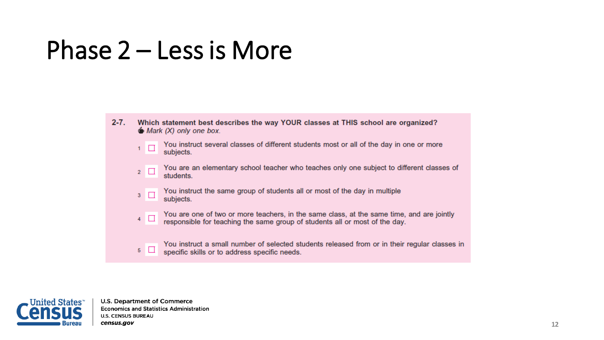## Phase 2 – Less is More

- $2 7.$ Which statement best describes the way YOUR classes at THIS school are organized?  $\bullet$  Mark (X) only one box.
	- You instruct several classes of different students most or all of the day in one or more  $1$   $\Box$ subjects.
	- You are an elementary school teacher who teaches only one subject to different classes of  $2\Box$ students.
	- You instruct the same group of students all or most of the day in multiple  $3$ subjects.
	- You are one of two or more teachers, in the same class, at the same time, and are jointly  $4$ responsible for teaching the same group of students all or most of the day.
	- You instruct a small number of selected students released from or in their regular classes in  $5\Box$ specific skills or to address specific needs.

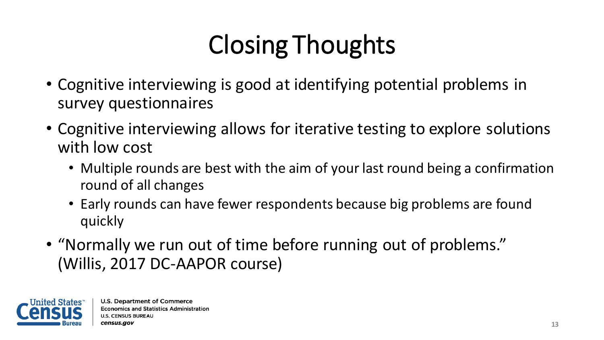# Closing Thoughts

- Cognitive interviewing is good at identifying potential problems in survey questionnaires
- Cognitive interviewing allows for iterative testing to explore solutions with low cost
	- Multiple rounds are best with the aim of your last round being a confirmation round of all changes
	- Early rounds can have fewer respondents because big problems are found quickly
- "Normally we run out of time before running out of problems." (Willis, 2017 DC-AAPOR course)